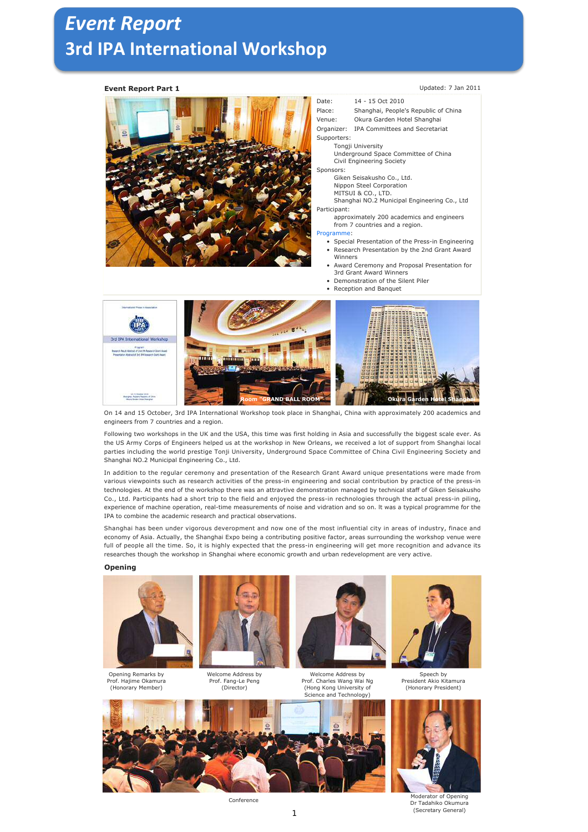# *Event Report* **3rd IPA International Workshop**

### **Event Report Part 1** Updated: 7 Jan 2011



- Date: 14 15 Oct 2010
- Place: Shanghai, People's Republic of China
- Venue: Okura Garden Hotel Shanghai
- Organizer: IPA Committees and Secretariat
- Supporters:

Tongji University

Underground Space Committee of China

Civil Engineering Society

- Sponsors:
	- Giken Seisakusho Co., Ltd. Nippon Steel Corporation
	- MITSUI & CO., LTD.

Shanghai NO.2 Municipal Engineering Co., Ltd

Participant: approximately 200 academics and engineers from 7 countries and a region.

#### Programme:

- Special Presentation of the Press-in Engineering • Research Presentation by the 2nd Grant Award **Winners**
- Award Ceremony and Proposal Presentation for 3rd Grant Award Winners
- Demonstration of the Silent Piler
- Reception and Banquet



On 14 and 15 October, 3rd IPA International Workshop took place in Shanghai, China with approximately 200 academics and engineers from 7 countries and a region.

Following two workshops in the UK and the USA, this time was first holding in Asia and successfully the biggest scale ever. As the US Army Corps of Engineers helped us at the workshop in New Orleans, we received a lot of support from Shanghai local parties including the world prestige Tonji University, Underground Space Committee of China Civil Engineering Society and Shanghai NO.2 Municipal Engineering Co., Ltd.

In addition to the regular ceremony and presentation of the Research Grant Award unique presentations were made from various viewpoints such as research activities of the press-in engineering and social contribution by practice of the press-in technologies. At the end of the workshop there was an attravtive demonstration managed by technical staff of Giken Seisakusho Co., Ltd. Participants had a short trip to the field and enjoyed the press-in rechnologies through the actual press-in piling, experience of machine operation, real-time measurements of noise and vidration and so on. lt was a typical programme for the IPA to combine the academic research and practical observations.

Shanghai has been under vigorous deveropment and now one of the most influential city in areas of industry, finace and economy of Asia. Actually, the Shanghai Expo being a contributing positive factor, areas surrounding the workshop venue were full of people all the time. So, it is highly expected that the press-in engineering will get more recognition and advance its researches though the workshop in Shanghai where economic growth and urban redevelopment are very active.

#### **Opening**



Opening Remarks by Prof. Hajime Okamura (Honorary Member)



Welcome Address by Prof. Fang-Le Peng (Director)



Welcome Address by Prof. Charles Wang Wai Ng (Hong Kong University of Science and Technology)



President Akio Kitamura (Honorary President)



1



Conference Conference Dr Tadahiko Okumura (Secretary General)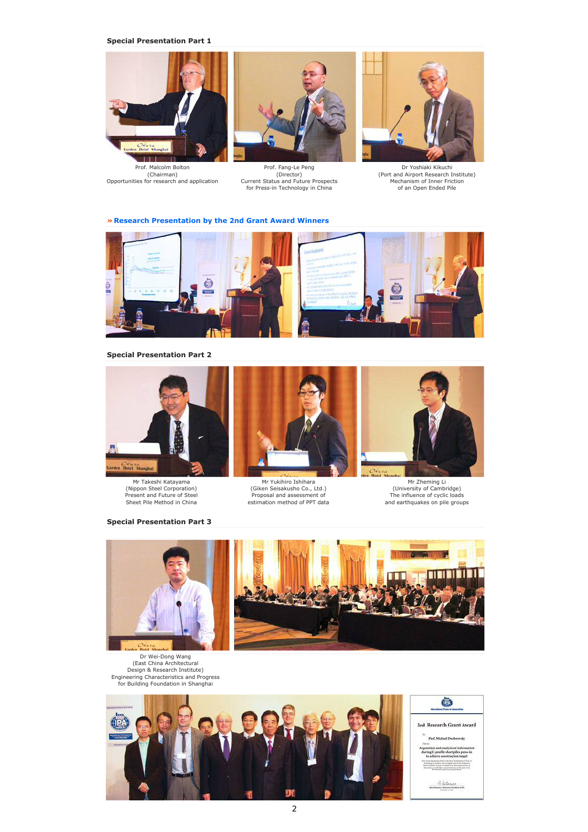**Special Presentation Part 1**



Prof. Malcolm Bolton (Chairman) Opportunities for research and application



for Press-in Technology in China

Prof. Fang-Le Peng (Director) Current Status and Future Prospects



Dr Yoshiaki Kikuchi (Port and Airport Research Institute) Mechanism of Inner Friction of an Open Ended Pile

**» Research Presentation by the 2nd Grant Award Winners**



**Special Presentation Part 2**



Mr Takeshi Katayama (Nippon Steel Corporation) Present and Future of Steel Sheet Pile Method in China





Mr Yukihiro Ishihara (Giken Seisakusho Co., Ltd.) Proposal and assessment of estimation method of PPT data



Mr Zheming Li (University of Cambridge) The influence of cyclic loads and earthquakes on pile groups



Dr Wei-Dong Wang (East China Architectural Design & Research Institute) Engineering Characteristics and Progress for Building Foundation in Shanghai





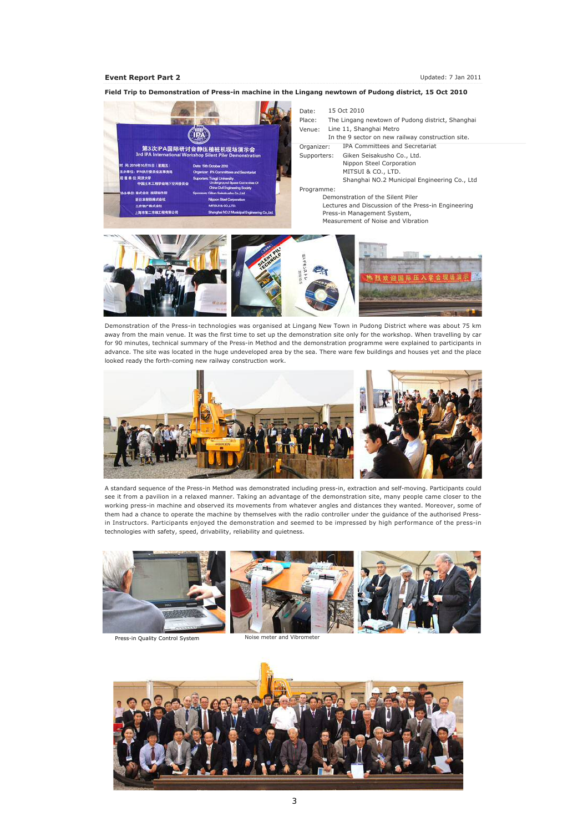### **Event Report Part 2** Updated: 7 Jan 2011

Date: 15 Oct 2010 Place: The Lingang newtown of Pudong district, Shanghai Venue: Line 11, Shanghai Metro ( TD In the 9 sector on new railway construction site. 第3次IPA国际研讨会静压植桩机现场演示会 Organizer: IPA Committees and Secretariat Supporters: Giken Seisakusho Co., Ltd. Nippon Steel Corporation 年10月15日 | 開始五 **PARFSSORESS** MITSUI & CO., LTD. 住: 同語大学<br>中国土木工程学会地下! Shanghai NO.2 Municipal Engineering Co., Ltd Programme: :<br>株式会社 技術開作  $60-10$ Demonstration of the Silent Piler **KRAMBATOR** Lectures and Discussion of the Press-in Engineering 上海市第二市政工程有限公 Press-in Management System, Measurement of Noise and Vibration

**Field Trip to Demonstration of Press-in machine in the Lingang newtown of Pudong district, 15 Oct 2010**

Demonstration of the Press-in technologies was organised at Lingang New Town in Pudong District where was about 75 km away from the main venue. It was the first time to set up the demonstration site only for the workshop. When travelling by car for 90 minutes, technical summary of the Press-in Method and the demonstration programme were explained to participants in advance. The site was located in the huge undeveloped area by the sea. There ware few buildings and houses yet and the place looked ready the forth-coming new railway construction work.



A standard sequence of the Press-in Method was demonstrated including press-in, extraction and self-moving. Participants could see it from a pavilion in a relaxed manner. Taking an advantage of the demonstration site, many people came closer to the working press-in machine and observed its movements from whatever angles and distances they wanted. Moreover, some of them had a chance to operate the machine by themselves with the radio controller under the guidance of the authorised Pressin Instructors. Participants enjoyed the demonstration and seemed to be impressed by high performance of the press-in technologies with safety, speed, drivability, reliability and quietness.



Press-in Quality Control System Noise meter and Vibrometer